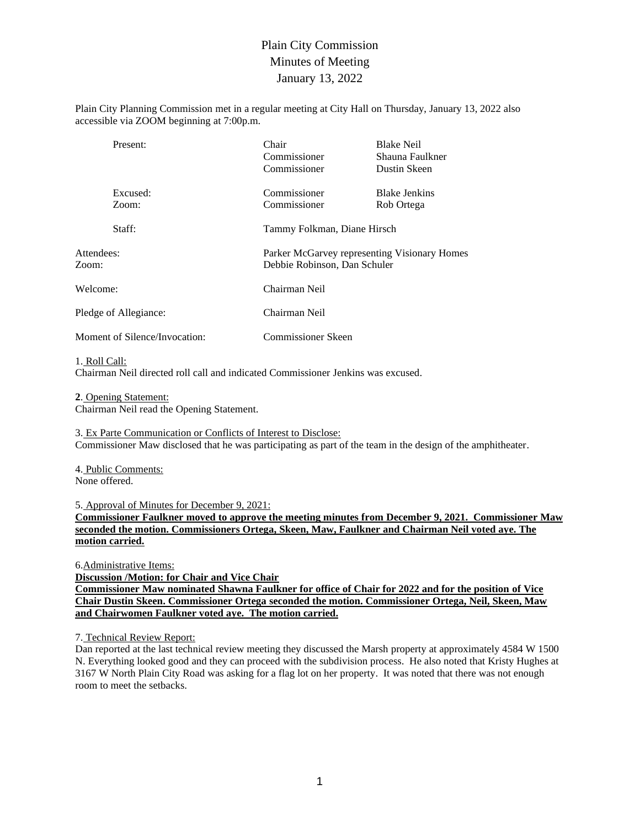## Plain City Commission Minutes of Meeting January 13, 2022

Plain City Planning Commission met in a regular meeting at City Hall on Thursday, January 13, 2022 also accessible via ZOOM beginning at 7:00p.m.

| Present:                      | Chair<br>Commissioner<br>Commissioner                                        | <b>Blake Neil</b><br>Shauna Faulkner<br>Dustin Skeen |  |  |
|-------------------------------|------------------------------------------------------------------------------|------------------------------------------------------|--|--|
| Excused:<br>Zoom:             | Commissioner<br>Commissioner                                                 | <b>Blake Jenkins</b><br>Rob Ortega                   |  |  |
| Staff:                        |                                                                              | Tammy Folkman, Diane Hirsch                          |  |  |
| Attendees:<br>Zoom:           | Parker McGarvey representing Visionary Homes<br>Debbie Robinson, Dan Schuler |                                                      |  |  |
| Welcome:                      | Chairman Neil                                                                |                                                      |  |  |
| Pledge of Allegiance:         | Chairman Neil                                                                |                                                      |  |  |
| Moment of Silence/Invocation: | Commissioner Skeen                                                           |                                                      |  |  |

#### 1. Roll Call:

Chairman Neil directed roll call and indicated Commissioner Jenkins was excused.

**2**. Opening Statement:

Chairman Neil read the Opening Statement.

3. Ex Parte Communication or Conflicts of Interest to Disclose: Commissioner Maw disclosed that he was participating as part of the team in the design of the amphitheater.

4. Public Comments: None offered.

5. Approval of Minutes for December 9, 2021:

**Commissioner Faulkner moved to approve the meeting minutes from December 9, 2021. Commissioner Maw seconded the motion. Commissioners Ortega, Skeen, Maw, Faulkner and Chairman Neil voted aye. The motion carried.**

6.Administrative Items: **Discussion /Motion: for Chair and Vice Chair Commissioner Maw nominated Shawna Faulkner for office of Chair for 2022 and for the position of Vice Chair Dustin Skeen. Commissioner Ortega seconded the motion. Commissioner Ortega, Neil, Skeen, Maw and Chairwomen Faulkner voted aye. The motion carried.**

## 7. Technical Review Report:

Dan reported at the last technical review meeting they discussed the Marsh property at approximately 4584 W 1500 N. Everything looked good and they can proceed with the subdivision process. He also noted that Kristy Hughes at 3167 W North Plain City Road was asking for a flag lot on her property. It was noted that there was not enough room to meet the setbacks.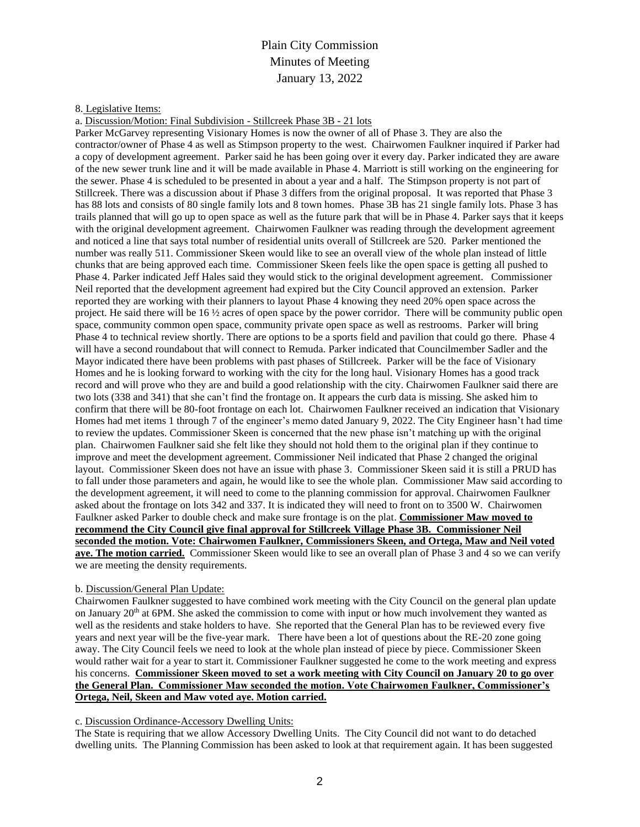## Plain City Commission Minutes of Meeting January 13, 2022

### 8. Legislative Items:

a. Discussion/Motion: Final Subdivision - Stillcreek Phase 3B - 21 lots

Parker McGarvey representing Visionary Homes is now the owner of all of Phase 3. They are also the contractor/owner of Phase 4 as well as Stimpson property to the west. Chairwomen Faulkner inquired if Parker had a copy of development agreement. Parker said he has been going over it every day. Parker indicated they are aware of the new sewer trunk line and it will be made available in Phase 4. Marriott is still working on the engineering for the sewer. Phase 4 is scheduled to be presented in about a year and a half. The Stimpson property is not part of Stillcreek. There was a discussion about if Phase 3 differs from the original proposal. It was reported that Phase 3 has 88 lots and consists of 80 single family lots and 8 town homes. Phase 3B has 21 single family lots. Phase 3 has trails planned that will go up to open space as well as the future park that will be in Phase 4. Parker says that it keeps with the original development agreement. Chairwomen Faulkner was reading through the development agreement and noticed a line that says total number of residential units overall of Stillcreek are 520. Parker mentioned the number was really 511. Commissioner Skeen would like to see an overall view of the whole plan instead of little chunks that are being approved each time. Commissioner Skeen feels like the open space is getting all pushed to Phase 4. Parker indicated Jeff Hales said they would stick to the original development agreement. Commissioner Neil reported that the development agreement had expired but the City Council approved an extension. Parker reported they are working with their planners to layout Phase 4 knowing they need 20% open space across the project. He said there will be  $16\frac{1}{2}$  acres of open space by the power corridor. There will be community public open space, community common open space, community private open space as well as restrooms. Parker will bring Phase 4 to technical review shortly. There are options to be a sports field and pavilion that could go there. Phase 4 will have a second roundabout that will connect to Remuda. Parker indicated that Councilmember Sadler and the Mayor indicated there have been problems with past phases of Stillcreek. Parker will be the face of Visionary Homes and he is looking forward to working with the city for the long haul. Visionary Homes has a good track record and will prove who they are and build a good relationship with the city. Chairwomen Faulkner said there are two lots (338 and 341) that she can't find the frontage on. It appears the curb data is missing. She asked him to confirm that there will be 80-foot frontage on each lot. Chairwomen Faulkner received an indication that Visionary Homes had met items 1 through 7 of the engineer's memo dated January 9, 2022. The City Engineer hasn't had time to review the updates. Commissioner Skeen is concerned that the new phase isn't matching up with the original plan. Chairwomen Faulkner said she felt like they should not hold them to the original plan if they continue to improve and meet the development agreement. Commissioner Neil indicated that Phase 2 changed the original layout. Commissioner Skeen does not have an issue with phase 3. Commissioner Skeen said it is still a PRUD has to fall under those parameters and again, he would like to see the whole plan. Commissioner Maw said according to the development agreement, it will need to come to the planning commission for approval. Chairwomen Faulkner asked about the frontage on lots 342 and 337. It is indicated they will need to front on to 3500 W. Chairwomen Faulkner asked Parker to double check and make sure frontage is on the plat. **Commissioner Maw moved to recommend the City Council give final approval for Stillcreek Village Phase 3B. Commissioner Neil seconded the motion. Vote: Chairwomen Faulkner, Commissioners Skeen, and Ortega, Maw and Neil voted aye. The motion carried.** Commissioner Skeen would like to see an overall plan of Phase 3 and 4 so we can verify we are meeting the density requirements.

#### b. Discussion/General Plan Update:

Chairwomen Faulkner suggested to have combined work meeting with the City Council on the general plan update on January  $20<sup>th</sup>$  at 6PM. She asked the commission to come with input or how much involvement they wanted as well as the residents and stake holders to have. She reported that the General Plan has to be reviewed every five years and next year will be the five-year mark. There have been a lot of questions about the RE-20 zone going away. The City Council feels we need to look at the whole plan instead of piece by piece. Commissioner Skeen would rather wait for a year to start it. Commissioner Faulkner suggested he come to the work meeting and express his concerns. **Commissioner Skeen moved to set a work meeting with City Council on January 20 to go over the General Plan. Commissioner Maw seconded the motion. Vote Chairwomen Faulkner, Commissioner's Ortega, Neil, Skeen and Maw voted aye. Motion carried.**

### c. Discussion Ordinance-Accessory Dwelling Units:

The State is requiring that we allow Accessory Dwelling Units. The City Council did not want to do detached dwelling units. The Planning Commission has been asked to look at that requirement again. It has been suggested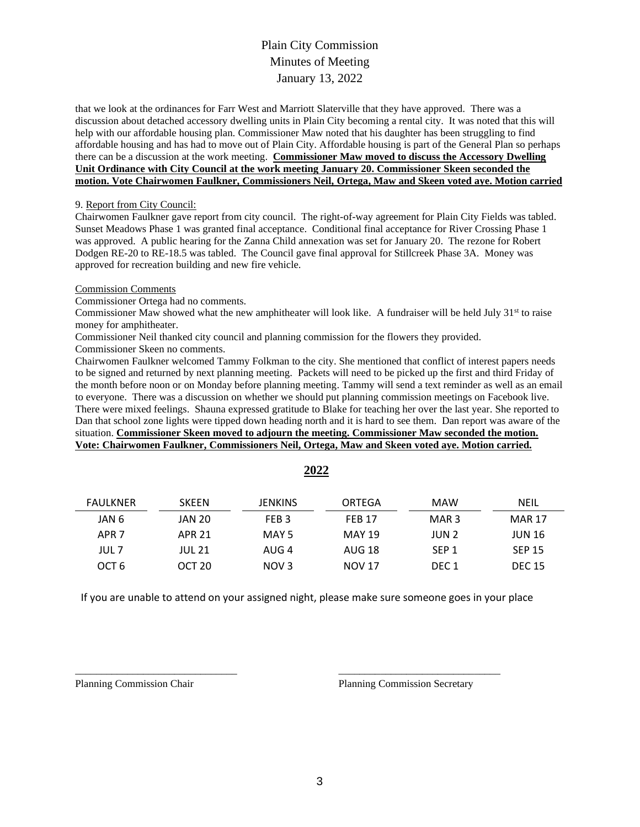# Plain City Commission Minutes of Meeting January 13, 2022

that we look at the ordinances for Farr West and Marriott Slaterville that they have approved. There was a discussion about detached accessory dwelling units in Plain City becoming a rental city. It was noted that this will help with our affordable housing plan. Commissioner Maw noted that his daughter has been struggling to find affordable housing and has had to move out of Plain City. Affordable housing is part of the General Plan so perhaps there can be a discussion at the work meeting. **Commissioner Maw moved to discuss the Accessory Dwelling Unit Ordinance with City Council at the work meeting January 20. Commissioner Skeen seconded the motion. Vote Chairwomen Faulkner, Commissioners Neil, Ortega, Maw and Skeen voted aye. Motion carried**

#### 9. Report from City Council:

Chairwomen Faulkner gave report from city council. The right-of-way agreement for Plain City Fields was tabled. Sunset Meadows Phase 1 was granted final acceptance. Conditional final acceptance for River Crossing Phase 1 was approved. A public hearing for the Zanna Child annexation was set for January 20. The rezone for Robert Dodgen RE-20 to RE-18.5 was tabled. The Council gave final approval for Stillcreek Phase 3A. Money was approved for recreation building and new fire vehicle.

#### Commission Comments

Commissioner Ortega had no comments.

Commissioner Maw showed what the new amphitheater will look like. A fundraiser will be held July  $31<sup>st</sup>$  to raise money for amphitheater.

Commissioner Neil thanked city council and planning commission for the flowers they provided. Commissioner Skeen no comments.

Chairwomen Faulkner welcomed Tammy Folkman to the city. She mentioned that conflict of interest papers needs to be signed and returned by next planning meeting. Packets will need to be picked up the first and third Friday of the month before noon or on Monday before planning meeting. Tammy will send a text reminder as well as an email to everyone. There was a discussion on whether we should put planning commission meetings on Facebook live. There were mixed feelings. Shauna expressed gratitude to Blake for teaching her over the last year. She reported to Dan that school zone lights were tipped down heading north and it is hard to see them. Dan report was aware of the situation. **Commissioner Skeen moved to adjourn the meeting. Commissioner Maw seconded the motion. Vote: Chairwomen Faulkner, Commissioners Neil, Ortega, Maw and Skeen voted aye. Motion carried.**

| FAULKNER         | <b>SKEEN</b>      | <b>JENKINS</b>   | ORTEGA        | <b>MAW</b>       | NEIL          |
|------------------|-------------------|------------------|---------------|------------------|---------------|
| JAN 6            | <b>JAN 20</b>     | FEB <sub>3</sub> | <b>FFB 17</b> | MAR <sub>3</sub> | <b>MAR 17</b> |
| APR <sub>7</sub> | APR 21            | MAY 5            | <b>MAY 19</b> | JUN 2            | <b>JUN 16</b> |
| JUL 7            | <b>JUL 21</b>     | AUG 4            | AUG 18        | SEP <sub>1</sub> | <b>SEP 15</b> |
| OCT 6            | OCT <sub>20</sub> | NOV <sub>3</sub> | <b>NOV 17</b> | DEC <sub>1</sub> | <b>DEC 15</b> |

**2022**

If you are unable to attend on your assigned night, please make sure someone goes in your place

\_\_\_\_\_\_\_\_\_\_\_\_\_\_\_\_\_\_\_\_\_\_\_\_\_\_\_\_\_\_\_ \_\_\_\_\_\_\_\_\_\_\_\_\_\_\_\_\_\_\_\_\_\_\_\_\_\_\_\_\_\_\_

Planning Commission Chair Planning Commission Secretary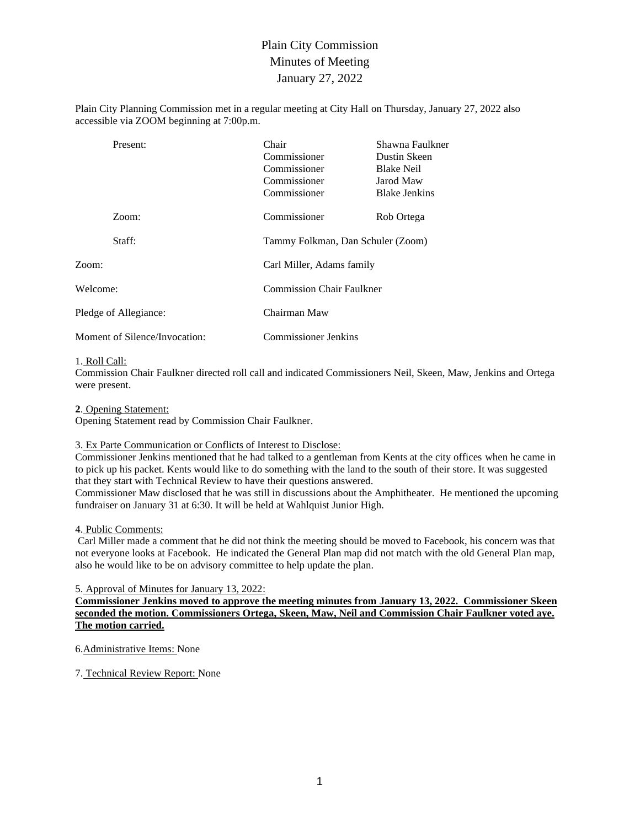# Plain City Commission Minutes of Meeting January 27, 2022

Plain City Planning Commission met in a regular meeting at City Hall on Thursday, January 27, 2022 also accessible via ZOOM beginning at 7:00p.m.

| Present:                      | Chair<br>Commissioner<br>Commissioner<br>Commissioner<br>Commissioner | Shawna Faulkner<br>Dustin Skeen<br><b>Blake Neil</b><br>Jarod Maw<br><b>Blake Jenkins</b> |  |  |
|-------------------------------|-----------------------------------------------------------------------|-------------------------------------------------------------------------------------------|--|--|
| Zoom:                         | Commissioner                                                          | Rob Ortega                                                                                |  |  |
| Staff:                        | Tammy Folkman, Dan Schuler (Zoom)                                     |                                                                                           |  |  |
| Zoom:                         |                                                                       | Carl Miller, Adams family                                                                 |  |  |
| Welcome:                      |                                                                       | <b>Commission Chair Faulkner</b>                                                          |  |  |
| Pledge of Allegiance:         | Chairman Maw                                                          |                                                                                           |  |  |
| Moment of Silence/Invocation: |                                                                       | Commissioner Jenkins                                                                      |  |  |

#### 1. Roll Call:

Commission Chair Faulkner directed roll call and indicated Commissioners Neil, Skeen, Maw, Jenkins and Ortega were present.

#### **2**. Opening Statement:

Opening Statement read by Commission Chair Faulkner.

#### 3. Ex Parte Communication or Conflicts of Interest to Disclose:

Commissioner Jenkins mentioned that he had talked to a gentleman from Kents at the city offices when he came in to pick up his packet. Kents would like to do something with the land to the south of their store. It was suggested that they start with Technical Review to have their questions answered.

Commissioner Maw disclosed that he was still in discussions about the Amphitheater. He mentioned the upcoming fundraiser on January 31 at 6:30. It will be held at Wahlquist Junior High.

4. Public Comments:

Carl Miller made a comment that he did not think the meeting should be moved to Facebook, his concern was that not everyone looks at Facebook. He indicated the General Plan map did not match with the old General Plan map, also he would like to be on advisory committee to help update the plan.

5. Approval of Minutes for January 13, 2022:

## **Commissioner Jenkins moved to approve the meeting minutes from January 13, 2022. Commissioner Skeen seconded the motion. Commissioners Ortega, Skeen, Maw, Neil and Commission Chair Faulkner voted aye. The motion carried.**

6.Administrative Items: None

7. Technical Review Report: None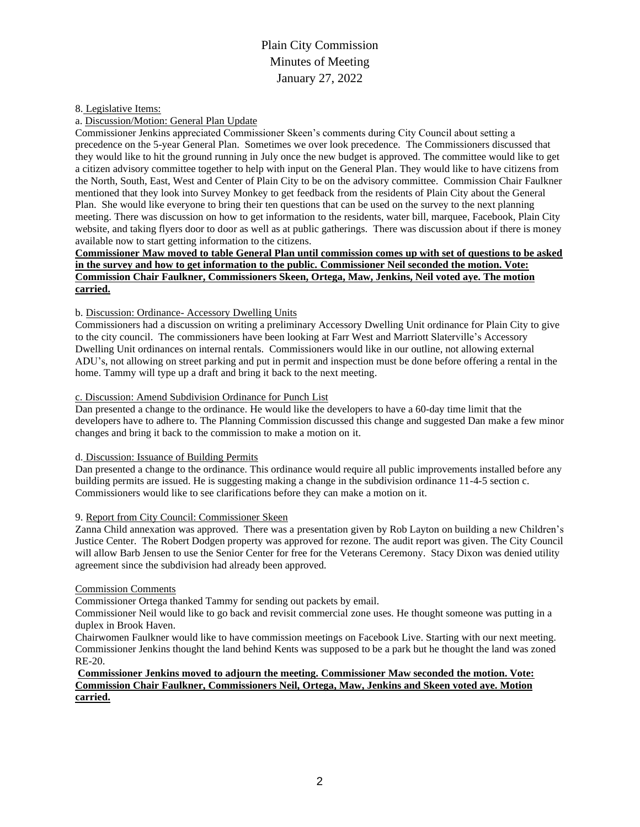# Plain City Commission Minutes of Meeting January 27, 2022

### 8. Legislative Items:

a. Discussion/Motion: General Plan Update

Commissioner Jenkins appreciated Commissioner Skeen's comments during City Council about setting a precedence on the 5-year General Plan. Sometimes we over look precedence. The Commissioners discussed that they would like to hit the ground running in July once the new budget is approved. The committee would like to get a citizen advisory committee together to help with input on the General Plan. They would like to have citizens from the North, South, East, West and Center of Plain City to be on the advisory committee. Commission Chair Faulkner mentioned that they look into Survey Monkey to get feedback from the residents of Plain City about the General Plan. She would like everyone to bring their ten questions that can be used on the survey to the next planning meeting. There was discussion on how to get information to the residents, water bill, marquee, Facebook, Plain City website, and taking flyers door to door as well as at public gatherings. There was discussion about if there is money available now to start getting information to the citizens.

### **Commissioner Maw moved to table General Plan until commission comes up with set of questions to be asked in the survey and how to get information to the public. Commissioner Neil seconded the motion. Vote: Commission Chair Faulkner, Commissioners Skeen, Ortega, Maw, Jenkins, Neil voted aye. The motion carried.**

## b. Discussion: Ordinance- Accessory Dwelling Units

Commissioners had a discussion on writing a preliminary Accessory Dwelling Unit ordinance for Plain City to give to the city council. The commissioners have been looking at Farr West and Marriott Slaterville's Accessory Dwelling Unit ordinances on internal rentals. Commissioners would like in our outline, not allowing external ADU's, not allowing on street parking and put in permit and inspection must be done before offering a rental in the home. Tammy will type up a draft and bring it back to the next meeting.

### c. Discussion: Amend Subdivision Ordinance for Punch List

Dan presented a change to the ordinance. He would like the developers to have a 60-day time limit that the developers have to adhere to. The Planning Commission discussed this change and suggested Dan make a few minor changes and bring it back to the commission to make a motion on it.

#### d. Discussion: Issuance of Building Permits

Dan presented a change to the ordinance. This ordinance would require all public improvements installed before any building permits are issued. He is suggesting making a change in the subdivision ordinance 11-4-5 section c. Commissioners would like to see clarifications before they can make a motion on it.

## 9. Report from City Council: Commissioner Skeen

Zanna Child annexation was approved. There was a presentation given by Rob Layton on building a new Children's Justice Center. The Robert Dodgen property was approved for rezone. The audit report was given. The City Council will allow Barb Jensen to use the Senior Center for free for the Veterans Ceremony. Stacy Dixon was denied utility agreement since the subdivision had already been approved.

#### Commission Comments

Commissioner Ortega thanked Tammy for sending out packets by email.

Commissioner Neil would like to go back and revisit commercial zone uses. He thought someone was putting in a duplex in Brook Haven.

Chairwomen Faulkner would like to have commission meetings on Facebook Live. Starting with our next meeting. Commissioner Jenkins thought the land behind Kents was supposed to be a park but he thought the land was zoned RE-20.

### **Commissioner Jenkins moved to adjourn the meeting. Commissioner Maw seconded the motion. Vote: Commission Chair Faulkner, Commissioners Neil, Ortega, Maw, Jenkins and Skeen voted aye. Motion carried.**